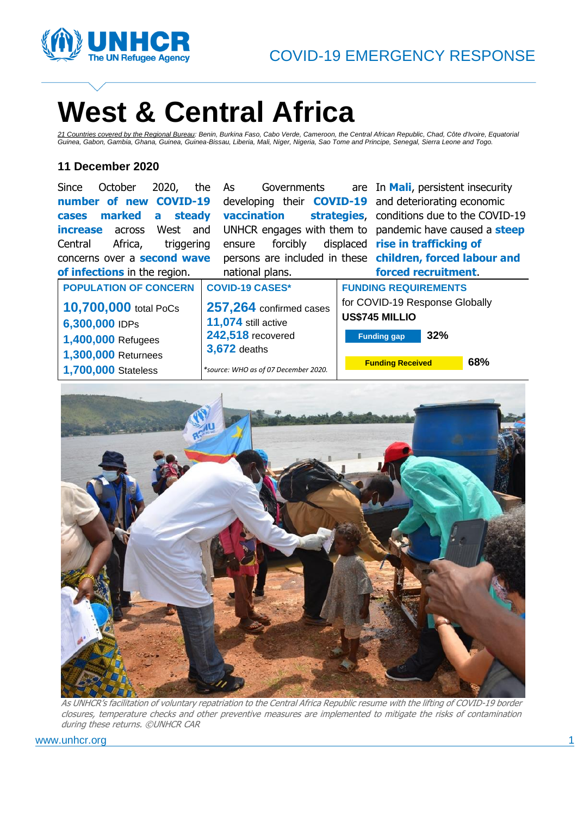

# **West & Central Africa**

*21 Countries covered by the Regional Bureau: Benin, Burkina Faso, Cabo Verde, Cameroon, the Central African Republic, Chad, Côte d'Ivoire, Equatorial Guinea, Gabon, Gambia, Ghana, Guinea, Guinea-Bissau, Liberia, Mali, Niger, Nigeria, Sao Tome and Principe, Senegal, Sierra Leone and Togo.*

### **11 December 2020**

| 2020,<br>October<br>Since        | the<br>Governments<br>As             | are In Mali, persistent insecurity                             |
|----------------------------------|--------------------------------------|----------------------------------------------------------------|
| COVID-19<br>number of new        |                                      | developing their <b>COVID-19</b> and deteriorating economic    |
| marked<br>steady<br>a<br>cases   | vaccination                          | strategies, conditions due to the COVID-19                     |
| West<br><b>increase</b> across   | and                                  | UNHCR engages with them to pandemic have caused a <b>steep</b> |
| Africa,<br>Central<br>triggering | forcibly<br>ensure                   | displaced rise in trafficking of                               |
| concerns over a second wave      |                                      | persons are included in these children, forced labour and      |
| of infections in the region.     | national plans.                      | forced recruitment.                                            |
| <b>POPULATION OF CONCERN</b>     | <b>COVID-19 CASES*</b>               | <b>FUNDING REQUIREMENTS</b>                                    |
| 10,700,000 total PoCs            | 257,264 confirmed cases              | for COVID-19 Response Globally                                 |
| 6,300,000 IDPs                   | 11,074 still active                  | US\$745 MILLIO                                                 |
|                                  | 242,518 recovered                    | 32%<br><b>Funding gap</b>                                      |
| 1,400,000 Refugees               | <b>3,672</b> deaths                  |                                                                |
| 1,300,000 Returnees              |                                      | 68%<br><b>Funding Received</b>                                 |
| 1,700,000 Stateless              | *source: WHO as of 07 December 2020. |                                                                |



As UNHCR's facilitation of voluntary repatriation to the Central Africa Republic resume with the lifting of COVID-19 border closures, temperature checks and other preventive measures are implemented to mitigate the risks of contamination during these returns. ©UNHCR CAR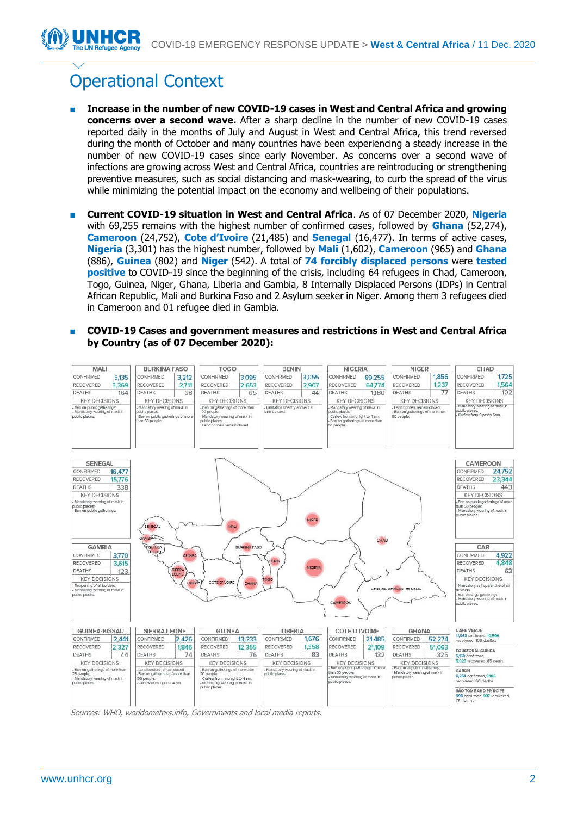# Operational Context

- **Increase in the number of new COVID-19 cases in West and Central Africa and growing concerns over a second wave.** After a sharp decline in the number of new COVID-19 cases reported daily in the months of July and August in West and Central Africa, this trend reversed during the month of October and many countries have been experiencing a steady increase in the number of new COVID-19 cases since early November. As concerns over a second wave of infections are growing across West and Central Africa, countries are reintroducing or strengthening preventive measures, such as social distancing and mask-wearing, to curb the spread of the virus while minimizing the potential impact on the economy and wellbeing of their populations.
- **Current COVID-19 situation in West and Central Africa.** As of 07 December 2020, Nigeria with 69,255 remains with the highest number of confirmed cases, followed by **Ghana** (52,274), **Cameroon** (24,752), **Cote d'Ivoire** (21,485) and **Senegal** (16,477). In terms of active cases, **Nigeria** (3,301) has the highest number, followed by **Mali** (1,602), **Cameroon** (965) and **Ghana** (886), **Guinea** (802) and **Niger** (542). A total of **74 forcibly displaced persons** were **tested positive** to COVID-19 since the beginning of the crisis, including 64 refugees in Chad, Cameroon, Togo, Guinea, Niger, Ghana, Liberia and Gambia, 8 Internally Displaced Persons (IDPs) in Central African Republic, Mali and Burkina Faso and 2 Asylum seeker in Niger. Among them 3 refugees died in Cameroon and 01 refugee died in Gambia.
- **COVID-19 Cases and government measures and restrictions in West and Central Africa by Country (as of 07 December 2020):**



Sources: WHO, worldometers.info, Governments and local media reports.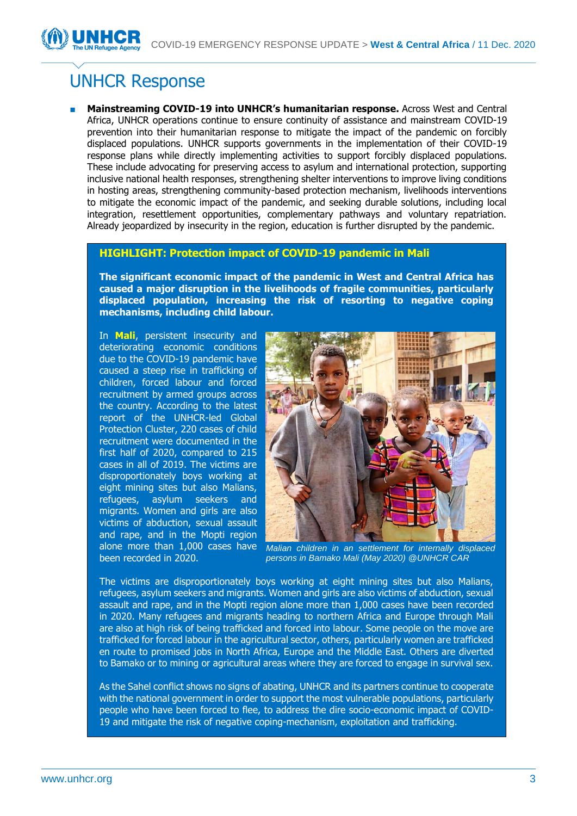## UNHCR Response

■ **Mainstreaming COVID-19 into UNHCR's humanitarian response.** Across West and Central Africa, UNHCR operations continue to ensure continuity of assistance and mainstream COVID-19 prevention into their humanitarian response to mitigate the impact of the pandemic on forcibly displaced populations. UNHCR supports governments in the implementation of their COVID-19 response plans while directly implementing activities to support forcibly displaced populations. These include advocating for preserving access to asylum and international protection, supporting inclusive national health responses, strengthening shelter interventions to improve living conditions in hosting areas, strengthening community-based protection mechanism, livelihoods interventions to mitigate the economic impact of the pandemic, and seeking durable solutions, including local integration, resettlement opportunities, complementary pathways and voluntary repatriation. Already jeopardized by insecurity in the region, education is further disrupted by the pandemic.

### **HIGHLIGHT: Protection impact of COVID-19 pandemic in Mali**

**The significant economic impact of the pandemic in West and Central Africa has caused a major disruption in the livelihoods of fragile communities, particularly displaced population, increasing the risk of resorting to negative coping mechanisms, including child labour.** 

In **Mali**, persistent insecurity and deteriorating economic conditions due to the COVID-19 pandemic have caused a steep rise in trafficking of children, forced labour and forced recruitment by armed groups across the country. According to the latest report of the UNHCR-led Global Protection Cluster, 220 cases of child recruitment were documented in the first half of 2020, compared to 215 cases in all of 2019. The victims are disproportionately boys working at eight mining sites but also Malians, refugees, asylum seekers and migrants. Women and girls are also victims of abduction, sexual assault and rape, and in the Mopti region been recorded in 2020.



alone more than 1,000 cases have *Malian children in an settlement for internally displaced persons in Bamako Mali (May 2020) @UNHCR CAR*

The victims are disproportionately boys working at eight mining sites but also Malians, refugees, asylum seekers and migrants. Women and girls are also victims of abduction, sexual assault and rape, and in the Mopti region alone more than 1,000 cases have been recorded in 2020. Many refugees and migrants heading to northern Africa and Europe through Mali are also at high risk of being trafficked and forced into labour. Some people on the move are trafficked for forced labour in the agricultural sector, others, particularly women are trafficked en route to promised jobs in North Africa, Europe and the Middle East. Others are diverted to Bamako or to mining or agricultural areas where they are forced to engage in survival sex.

As the Sahel conflict shows no signs of abating, UNHCR and its partners continue to cooperate with the national government in order to support the most vulnerable populations, particularly people who have been forced to flee, to address the dire socio-economic impact of COVID-19 and mitigate the risk of negative coping-mechanism, exploitation and trafficking.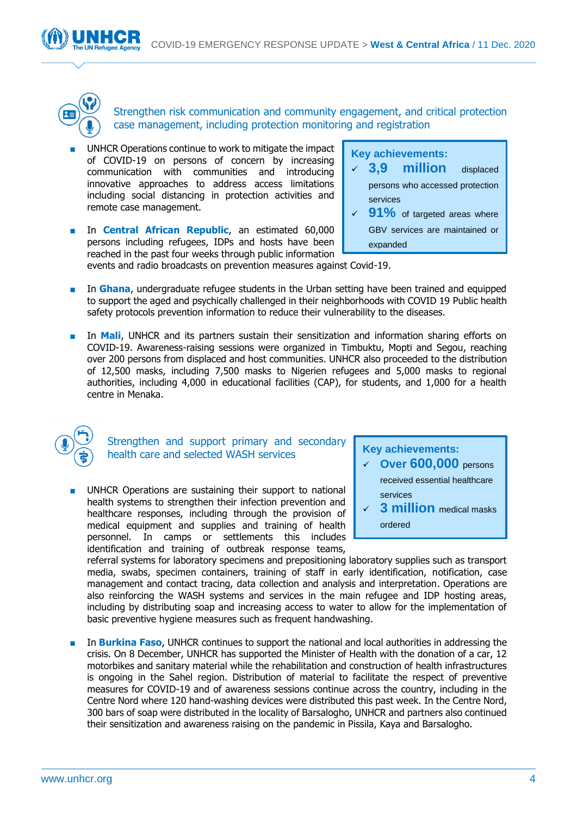

Strengthen risk communication and community engagement, and critical protection case management, including protection monitoring and registration

- UNHCR Operations continue to work to mitigate the impact of COVID-19 on persons of concern by increasing communication with communities and introducing innovative approaches to address access limitations including social distancing in protection activities and remote case management.
- In **Central African Republic**, an estimated 60,000 persons including refugees, IDPs and hosts have been reached in the past four weeks through public information



events and radio broadcasts on prevention measures against Covid-19.

- In **Ghana**, undergraduate refugee students in the Urban setting have been trained and equipped to support the aged and psychically challenged in their neighborhoods with COVID 19 Public health safety protocols prevention information to reduce their vulnerability to the diseases.
- In **Mali**, UNHCR and its partners sustain their sensitization and information sharing efforts on COVID-19. Awareness-raising sessions were organized in Timbuktu, Mopti and Segou, reaching over 200 persons from displaced and host communities. UNHCR also proceeded to the distribution of 12,500 masks, including 7,500 masks to Nigerien refugees and 5,000 masks to regional authorities, including 4,000 in educational facilities (CAP), for students, and 1,000 for a health centre in Menaka.



Strengthen and support primary and secondary health care and selected WASH services

UNHCR Operations are sustaining their support to national health systems to strengthen their infection prevention and healthcare responses, including through the provision of medical equipment and supplies and training of health personnel. In camps or settlements this includes identification and training of outbreak response teams,

**Key achievements:**  ✓ **Over 600,000** persons received essential healthcare

✓ **3 million** medical masks

ordered

services

referral systems for laboratory specimens and prepositioning laboratory supplies such as transport media, swabs, specimen containers, training of staff in early identification, notification, case management and contact tracing, data collection and analysis and interpretation. Operations are also reinforcing the WASH systems and services in the main refugee and IDP hosting areas, including by distributing soap and increasing access to water to allow for the implementation of basic preventive hygiene measures such as frequent handwashing.

■ In **Burkina Faso**, UNHCR continues to support the national and local authorities in addressing the crisis. On 8 December, UNHCR has supported the Minister of Health with the donation of a car, 12 motorbikes and sanitary material while the rehabilitation and construction of health infrastructures is ongoing in the Sahel region. Distribution of material to facilitate the respect of preventive measures for COVID-19 and of awareness sessions continue across the country, including in the Centre Nord where 120 hand-washing devices were distributed this past week. In the Centre Nord, 300 bars of soap were distributed in the locality of Barsalogho, UNHCR and partners also continued their sensitization and awareness raising on the pandemic in Pissila, Kaya and Barsalogho.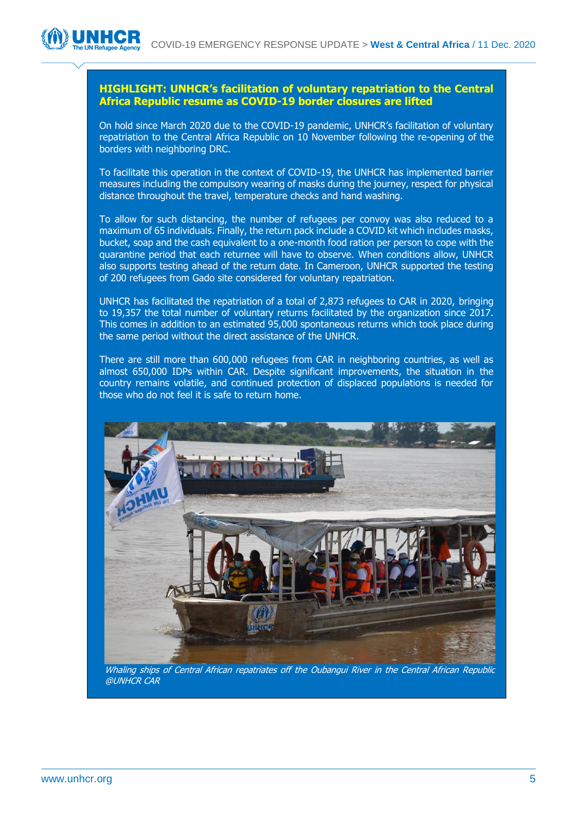### **HIGHLIGHT: UNHCR's facilitation of voluntary repatriation to the Central Africa Republic resume as COVID-19 border closures are lifted**

On hold since March 2020 due to the COVID-19 pandemic, UNHCR's facilitation of voluntary repatriation to the Central Africa Republic on 10 November following the re-opening of the borders with neighboring DRC.

To facilitate this operation in the context of COVID-19, the UNHCR has implemented barrier measures including the compulsory wearing of masks during the journey, respect for physical distance throughout the travel, temperature checks and hand washing.

To allow for such distancing, the number of refugees per convoy was also reduced to a maximum of 65 individuals. Finally, the return pack include a COVID kit which includes masks, bucket, soap and the cash equivalent to a one-month food ration per person to cope with the quarantine period that each returnee will have to observe. When conditions allow, UNHCR also supports testing ahead of the return date. In Cameroon, UNHCR supported the testing of 200 refugees from Gado site considered for voluntary repatriation.

UNHCR has facilitated the repatriation of a total of 2,873 refugees to CAR in 2020, bringing to 19,357 the total number of voluntary returns facilitated by the organization since 2017. This comes in addition to an estimated 95,000 spontaneous returns which took place during the same period without the direct assistance of the UNHCR.

There are still more than 600,000 refugees from CAR in neighboring countries, as well as almost 650,000 IDPs within CAR. Despite significant improvements, the situation in the country remains volatile, and continued protection of displaced populations is needed for those who do not feel it is safe to return home.



Whaling ships of Central African repatriates off the Oubangui River in the Central African Republic @UNHCR CAR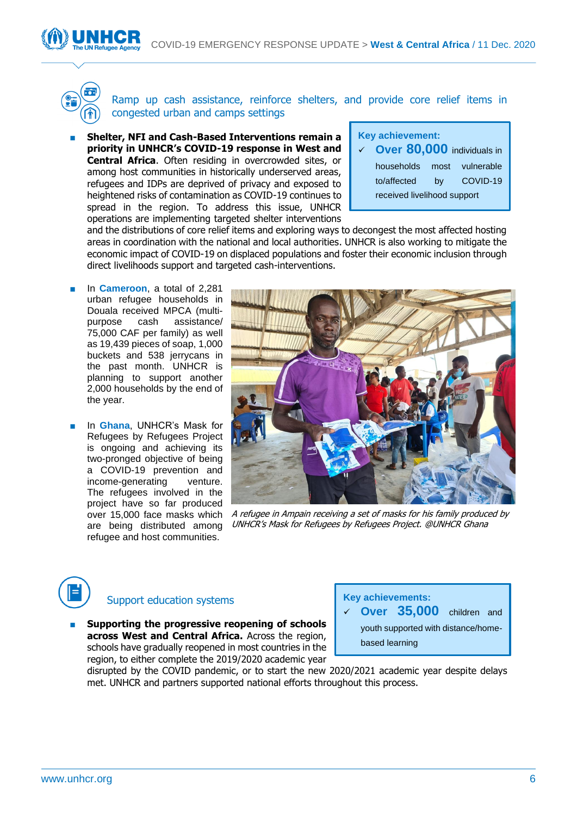

Ramp up cash assistance, reinforce shelters, and provide core relief items in congested urban and camps settings

**Shelter, NFI and Cash-Based Interventions remain a priority in UNHCR's COVID-19 response in West and Central Africa**. Often residing in overcrowded sites, or among host communities in historically underserved areas, refugees and IDPs are deprived of privacy and exposed to heightened risks of contamination as COVID-19 continues to spread in the region. To address this issue, UNHCR operations are implementing targeted shelter interventions

| <b>Key achievement:</b> |                                         |    |                 |  |
|-------------------------|-----------------------------------------|----|-----------------|--|
|                         | $\checkmark$ Over 80,000 individuals in |    |                 |  |
|                         | households                              |    | most vulnerable |  |
|                         | to/affected                             | bv | COVID-19        |  |
|                         | received livelihood support             |    |                 |  |

and the distributions of core relief items and exploring ways to decongest the most affected hosting areas in coordination with the national and local authorities. UNHCR is also working to mitigate the economic impact of COVID-19 on displaced populations and foster their economic inclusion through direct livelihoods support and targeted cash-interventions.

- In **Cameroon**, a total of 2,281 urban refugee households in Douala received MPCA (multipurpose cash assistance/ 75,000 CAF per family) as well as 19,439 pieces of soap, 1,000 buckets and 538 jerrycans in the past month. UNHCR is planning to support another 2,000 households by the end of the year.
- In **Ghana**, UNHCR's Mask for Refugees by Refugees Project is ongoing and achieving its two-pronged objective of being a COVID-19 prevention and income-generating venture. The refugees involved in the project have so far produced over 15,000 face masks which are being distributed among refugee and host communities.



A refugee in Ampain receiving a set of masks for his family produced by UNHCR's Mask for Refugees by Refugees Project. @UNHCR Ghana



### Support education systems

**Supporting the progressive reopening of schools across West and Central Africa.** Across the region, schools have gradually reopened in most countries in the region, to either complete the 2019/2020 academic year

**Key achievements:** 

✓ **Over 35,000** children and

youth supported with distance/homebased learning

disrupted by the COVID pandemic, or to start the new 2020/2021 academic year despite delays met. UNHCR and partners supported national efforts throughout this process.